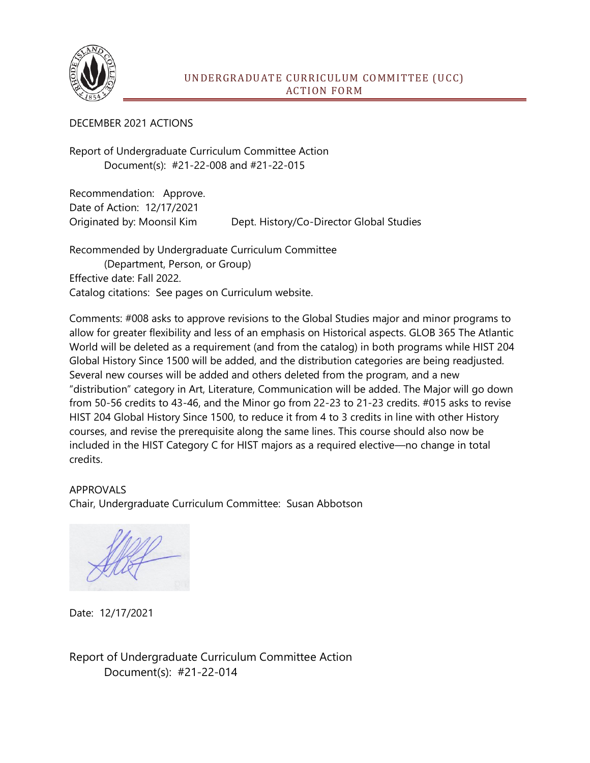

## DECEMBER 2021 ACTIONS

Report of Undergraduate Curriculum Committee Action Document(s): #21-22-008 and #21-22-015

Recommendation: Approve. Date of Action: 12/17/2021 Originated by: Moonsil Kim Dept. History/Co-Director Global Studies

Recommended by Undergraduate Curriculum Committee (Department, Person, or Group) Effective date: Fall 2022. Catalog citations: See pages on Curriculum website.

Comments: #008 asks to approve revisions to the Global Studies major and minor programs to allow for greater flexibility and less of an emphasis on Historical aspects. GLOB 365 The Atlantic World will be deleted as a requirement (and from the catalog) in both programs while HIST 204 Global History Since 1500 will be added, and the distribution categories are being readjusted. Several new courses will be added and others deleted from the program, and a new "distribution" category in Art, Literature, Communication will be added. The Major will go down from 50-56 credits to 43-46, and the Minor go from 22-23 to 21-23 credits. #015 asks to revise HIST 204 Global History Since 1500, to reduce it from 4 to 3 credits in line with other History courses, and revise the prerequisite along the same lines. This course should also now be included in the HIST Category C for HIST majors as a required elective—no change in total credits.

APPROVALS Chair, Undergraduate Curriculum Committee: Susan Abbotson

Date: 12/17/2021

Report of Undergraduate Curriculum Committee Action Document(s): #21-22-014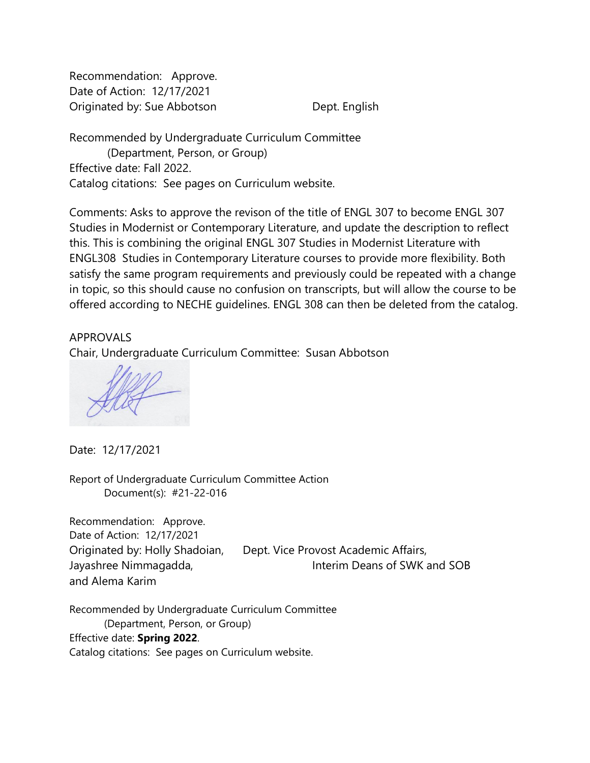Recommendation: Approve. Date of Action: 12/17/2021 Originated by: Sue Abbotson Dept. English

Recommended by Undergraduate Curriculum Committee (Department, Person, or Group) Effective date: Fall 2022. Catalog citations: See pages on Curriculum website.

Comments: Asks to approve the revison of the title of ENGL 307 to become ENGL 307 Studies in Modernist or Contemporary Literature, and update the description to reflect this. This is combining the original ENGL 307 Studies in Modernist Literature with ENGL308 Studies in Contemporary Literature courses to provide more flexibility. Both satisfy the same program requirements and previously could be repeated with a change in topic, so this should cause no confusion on transcripts, but will allow the course to be offered according to NECHE guidelines. ENGL 308 can then be deleted from the catalog.

APPROVALS Chair, Undergraduate Curriculum Committee: Susan Abbotson

Date: 12/17/2021

Report of Undergraduate Curriculum Committee Action Document(s): #21-22-016

Recommendation: Approve. Date of Action: 12/17/2021 Originated by: Holly Shadoian, Dept. Vice Provost Academic Affairs, Jayashree Nimmagadda, Interim Deans of SWK and SOB and Alema Karim

Recommended by Undergraduate Curriculum Committee (Department, Person, or Group) Effective date: **Spring 2022**. Catalog citations: See pages on Curriculum website.